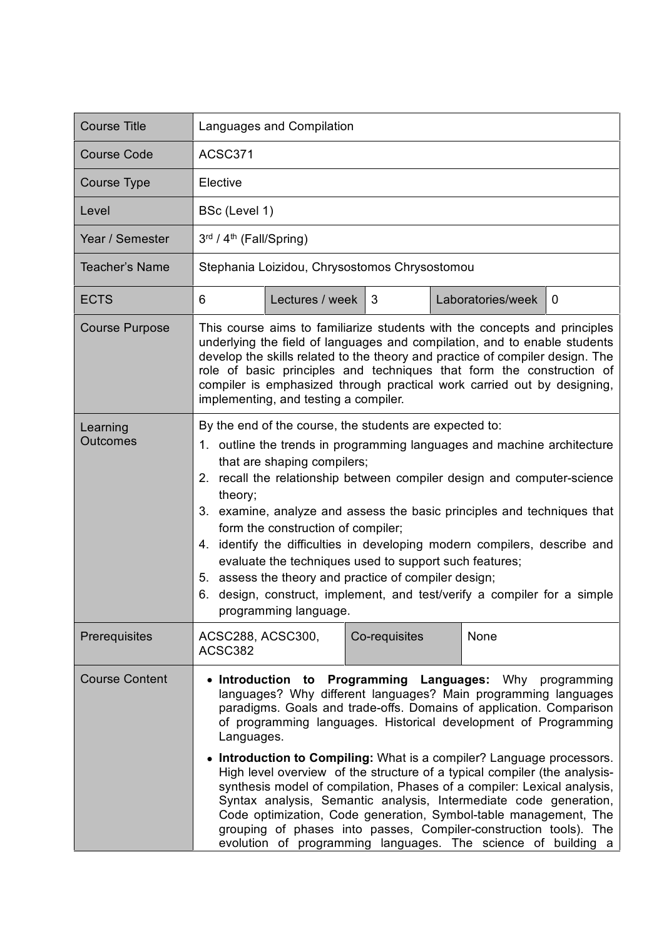| <b>Course Title</b>         | Languages and Compilation                                                                                                                                                                                                                                                                                                                                                                                                                                                                                                                                                                                                                                                                                                                                                                          |                 |               |  |                   |              |
|-----------------------------|----------------------------------------------------------------------------------------------------------------------------------------------------------------------------------------------------------------------------------------------------------------------------------------------------------------------------------------------------------------------------------------------------------------------------------------------------------------------------------------------------------------------------------------------------------------------------------------------------------------------------------------------------------------------------------------------------------------------------------------------------------------------------------------------------|-----------------|---------------|--|-------------------|--------------|
| <b>Course Code</b>          | ACSC371                                                                                                                                                                                                                                                                                                                                                                                                                                                                                                                                                                                                                                                                                                                                                                                            |                 |               |  |                   |              |
| Course Type                 | Elective                                                                                                                                                                                                                                                                                                                                                                                                                                                                                                                                                                                                                                                                                                                                                                                           |                 |               |  |                   |              |
| Level                       | BSc (Level 1)                                                                                                                                                                                                                                                                                                                                                                                                                                                                                                                                                                                                                                                                                                                                                                                      |                 |               |  |                   |              |
| Year / Semester             | 3rd / 4 <sup>th</sup> (Fall/Spring)                                                                                                                                                                                                                                                                                                                                                                                                                                                                                                                                                                                                                                                                                                                                                                |                 |               |  |                   |              |
| <b>Teacher's Name</b>       | Stephania Loizidou, Chrysostomos Chrysostomou                                                                                                                                                                                                                                                                                                                                                                                                                                                                                                                                                                                                                                                                                                                                                      |                 |               |  |                   |              |
| <b>ECTS</b>                 | 6                                                                                                                                                                                                                                                                                                                                                                                                                                                                                                                                                                                                                                                                                                                                                                                                  | Lectures / week | 3             |  | Laboratories/week | $\mathbf{0}$ |
| <b>Course Purpose</b>       | This course aims to familiarize students with the concepts and principles<br>underlying the field of languages and compilation, and to enable students<br>develop the skills related to the theory and practice of compiler design. The<br>role of basic principles and techniques that form the construction of<br>compiler is emphasized through practical work carried out by designing,<br>implementing, and testing a compiler.                                                                                                                                                                                                                                                                                                                                                               |                 |               |  |                   |              |
| Learning<br><b>Outcomes</b> | By the end of the course, the students are expected to:<br>1. outline the trends in programming languages and machine architecture<br>that are shaping compilers;<br>2. recall the relationship between compiler design and computer-science<br>theory;<br>3. examine, analyze and assess the basic principles and techniques that<br>form the construction of compiler;<br>4. identify the difficulties in developing modern compilers, describe and<br>evaluate the techniques used to support such features;<br>5. assess the theory and practice of compiler design;<br>design, construct, implement, and test/verify a compiler for a simple<br>6.<br>programming language.                                                                                                                   |                 |               |  |                   |              |
| Prerequisites               | ACSC288, ACSC300,<br>ACSC382                                                                                                                                                                                                                                                                                                                                                                                                                                                                                                                                                                                                                                                                                                                                                                       |                 | Co-requisites |  | None              |              |
| <b>Course Content</b>       | • Introduction to Programming Languages: Why programming<br>languages? Why different languages? Main programming languages<br>paradigms. Goals and trade-offs. Domains of application. Comparison<br>of programming languages. Historical development of Programming<br>Languages.<br>• Introduction to Compiling: What is a compiler? Language processors.<br>High level overview of the structure of a typical compiler (the analysis-<br>synthesis model of compilation, Phases of a compiler: Lexical analysis,<br>Syntax analysis, Semantic analysis, Intermediate code generation,<br>Code optimization, Code generation, Symbol-table management, The<br>grouping of phases into passes, Compiler-construction tools). The<br>evolution of programming languages. The science of building a |                 |               |  |                   |              |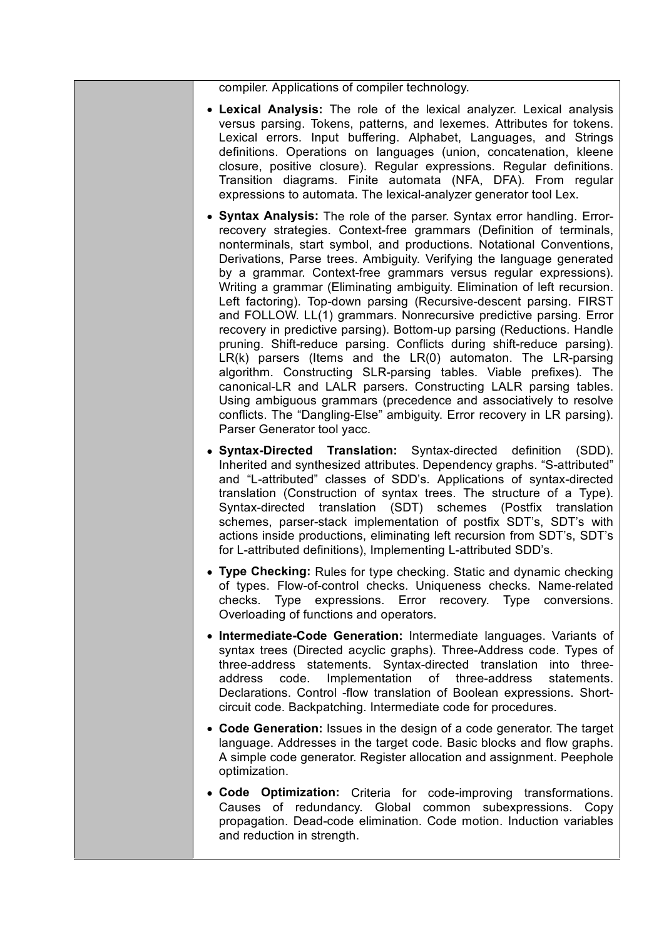compiler. Applications of compiler technology.

- **Lexical Analysis:** The role of the lexical analyzer. Lexical analysis versus parsing. Tokens, patterns, and lexemes. Attributes for tokens. Lexical errors. Input buffering. Alphabet, Languages, and Strings definitions. Operations on languages (union, concatenation, kleene closure, positive closure). Regular expressions. Regular definitions. Transition diagrams. Finite automata (NFA, DFA). From regular expressions to automata. The lexical-analyzer generator tool Lex.
- **Syntax Analysis:** The role of the parser. Syntax error handling. Errorrecovery strategies. Context-free grammars (Definition of terminals, nonterminals, start symbol, and productions. Notational Conventions, Derivations, Parse trees. Ambiguity. Verifying the language generated by a grammar. Context-free grammars versus regular expressions). Writing a grammar (Eliminating ambiguity. Elimination of left recursion. Left factoring). Top-down parsing (Recursive-descent parsing. FIRST and FOLLOW. LL(1) grammars. Nonrecursive predictive parsing. Error recovery in predictive parsing). Bottom-up parsing (Reductions. Handle pruning. Shift-reduce parsing. Conflicts during shift-reduce parsing). LR(k) parsers (Items and the LR(0) automaton. The LR-parsing algorithm. Constructing SLR-parsing tables. Viable prefixes). The canonical-LR and LALR parsers. Constructing LALR parsing tables. Using ambiguous grammars (precedence and associatively to resolve conflicts. The "Dangling-Else" ambiguity. Error recovery in LR parsing). Parser Generator tool yacc.
- **Syntax-Directed Translation:** Syntax-directed definition (SDD). Inherited and synthesized attributes. Dependency graphs. "S-attributed" and "L-attributed" classes of SDD's. Applications of syntax-directed translation (Construction of syntax trees. The structure of a Type). Syntax-directed translation (SDT) schemes (Postfix translation schemes, parser-stack implementation of postfix SDT's, SDT's with actions inside productions, eliminating left recursion from SDT's, SDT's for L-attributed definitions), Implementing L-attributed SDD's.
- **Type Checking:** Rules for type checking. Static and dynamic checking of types. Flow-of-control checks. Uniqueness checks. Name-related checks. Type expressions. Error recovery. Type conversions. Overloading of functions and operators.
- **Intermediate-Code Generation:** Intermediate languages. Variants of syntax trees (Directed acyclic graphs). Three-Address code. Types of three-address statements. Syntax-directed translation into threeaddress code. Implementation of three-address statements. Declarations. Control -flow translation of Boolean expressions. Shortcircuit code. Backpatching. Intermediate code for procedures.
- **Code Generation:** Issues in the design of a code generator. The target language. Addresses in the target code. Basic blocks and flow graphs. A simple code generator. Register allocation and assignment. Peephole optimization.
- **Code Optimization:** Criteria for code-improving transformations. Causes of redundancy. Global common subexpressions. Copy propagation. Dead-code elimination. Code motion. Induction variables and reduction in strength.